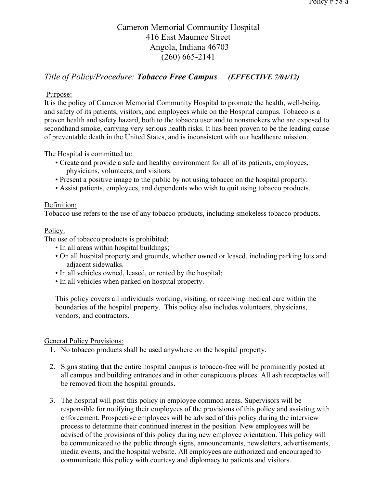# Cameron Memorial Community Hospital 416 East Maumee Street Angola, Indiana 46703 (260) 665-2141

## *Title of Policy/Procedure: Tobacco Free Campus (EFFECTIVE 7/04/12)*

### Purpose:

It is the policy of Cameron Memorial Community Hospital to promote the health, well-being, and safety of its patients, visitors, and employees while on the Hospital campus. Tobacco is a proven health and safety hazard, both to the tobacco user and to nonsmokers who are exposed to secondhand smoke, carrying very serious health risks. It has been proven to be the leading cause of preventable death in the United States, and is inconsistent with our healthcare mission.

The Hospital is committed to:

- Create and provide a safe and healthy environment for all of its patients, employees, physicians, volunteers, and visitors.
- Present a positive image to the public by not using tobacco on the hospital property.
- Assist patients, employees, and dependents who wish to quit using tobacco products.

#### Definition:

Tobacco use refers to the use of any tobacco products, including smokeless tobacco products.

#### Policy:

The use of tobacco products is prohibited:

- In all areas within hospital buildings;
- On all hospital property and grounds, whether owned or leased, including parking lots and adjacent sidewalks.
- In all vehicles owned, leased, or rented by the hospital;
- In all vehicles when parked on hospital property.

This policy covers all individuals working, visiting, or receiving medical care within the boundaries of the hospital property. This policy also includes volunteers, physicians, vendors, and contractors.

#### General Policy Provisions:

- 1. No tobacco products shall be used anywhere on the hospital property.
- 2. Signs stating that the entire hospital campus is tobacco-free will be prominently posted at all campus and building entrances and in other conspicuous places. All ash receptacles will be removed from the hospital grounds.
- 3. The hospital will post this policy in employee common areas. Supervisors will be responsible for notifying their employees of the provisions of this policy and assisting with enforcement. Prospective employees will be advised of this policy during the interview process to determine their continued interest in the position. New employees will be advised of the provisions of this policy during new employee orientation. This policy will be communicated to the public through signs, announcements, newsletters, advertisements, media events, and the hospital website. All employees are authorized and encouraged to communicate this policy with courtesy and diplomacy to patients and visitors.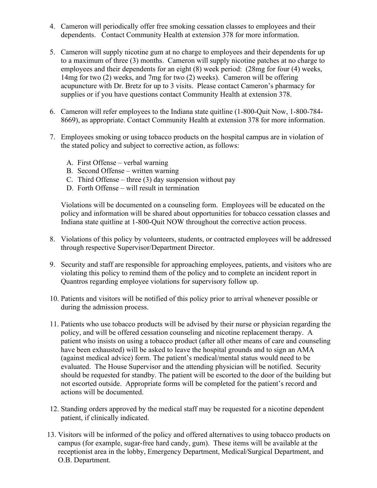- 4. Cameron will periodically offer free smoking cessation classes to employees and their dependents. Contact Community Health at extension 378 for more information.
- 5. Cameron will supply nicotine gum at no charge to employees and their dependents for up to a maximum of three (3) months. Cameron will supply nicotine patches at no charge to employees and their dependents for an eight (8) week period: (28mg for four (4) weeks, 14mg for two (2) weeks, and 7mg for two (2) weeks). Cameron will be offering acupuncture with Dr. Bretz for up to 3 visits. Please contact Cameron's pharmacy for supplies or if you have questions contact Community Health at extension 378.
- 6. Cameron will refer employees to the Indiana state quitline (1-800-Quit Now, 1-800-784- 8669), as appropriate. Contact Community Health at extension 378 for more information.
- 7. Employees smoking or using tobacco products on the hospital campus are in violation of the stated policy and subject to corrective action, as follows:
	- A. First Offense verbal warning
	- B. Second Offense written warning
	- C. Third Offense three  $(3)$  day suspension without pay
	- D. Forth Offense will result in termination

 Violations will be documented on a counseling form. Employees will be educated on the policy and information will be shared about opportunities for tobacco cessation classes and Indiana state quitline at 1-800-Quit NOW throughout the corrective action process.

- 8. Violations of this policy by volunteers, students, or contracted employees will be addressed through respective Supervisor/Department Director.
- 9. Security and staff are responsible for approaching employees, patients, and visitors who are violating this policy to remind them of the policy and to complete an incident report in Quantros regarding employee violations for supervisory follow up.
- 10. Patients and visitors will be notified of this policy prior to arrival whenever possible or during the admission process.
- 11. Patients who use tobacco products will be advised by their nurse or physician regarding the policy, and will be offered cessation counseling and nicotine replacement therapy. A patient who insists on using a tobacco product (after all other means of care and counseling have been exhausted) will be asked to leave the hospital grounds and to sign an AMA (against medical advice) form. The patient's medical/mental status would need to be evaluated. The House Supervisor and the attending physician will be notified. Security should be requested for standby. The patient will be escorted to the door of the building but not escorted outside. Appropriate forms will be completed for the patient's record and actions will be documented.
- 12. Standing orders approved by the medical staff may be requested for a nicotine dependent patient, if clinically indicated.
- 13. Visitors will be informed of the policy and offered alternatives to using tobacco products on campus (for example, sugar-free hard candy, gum). These items will be available at the receptionist area in the lobby, Emergency Department, Medical/Surgical Department, and O.B. Department.